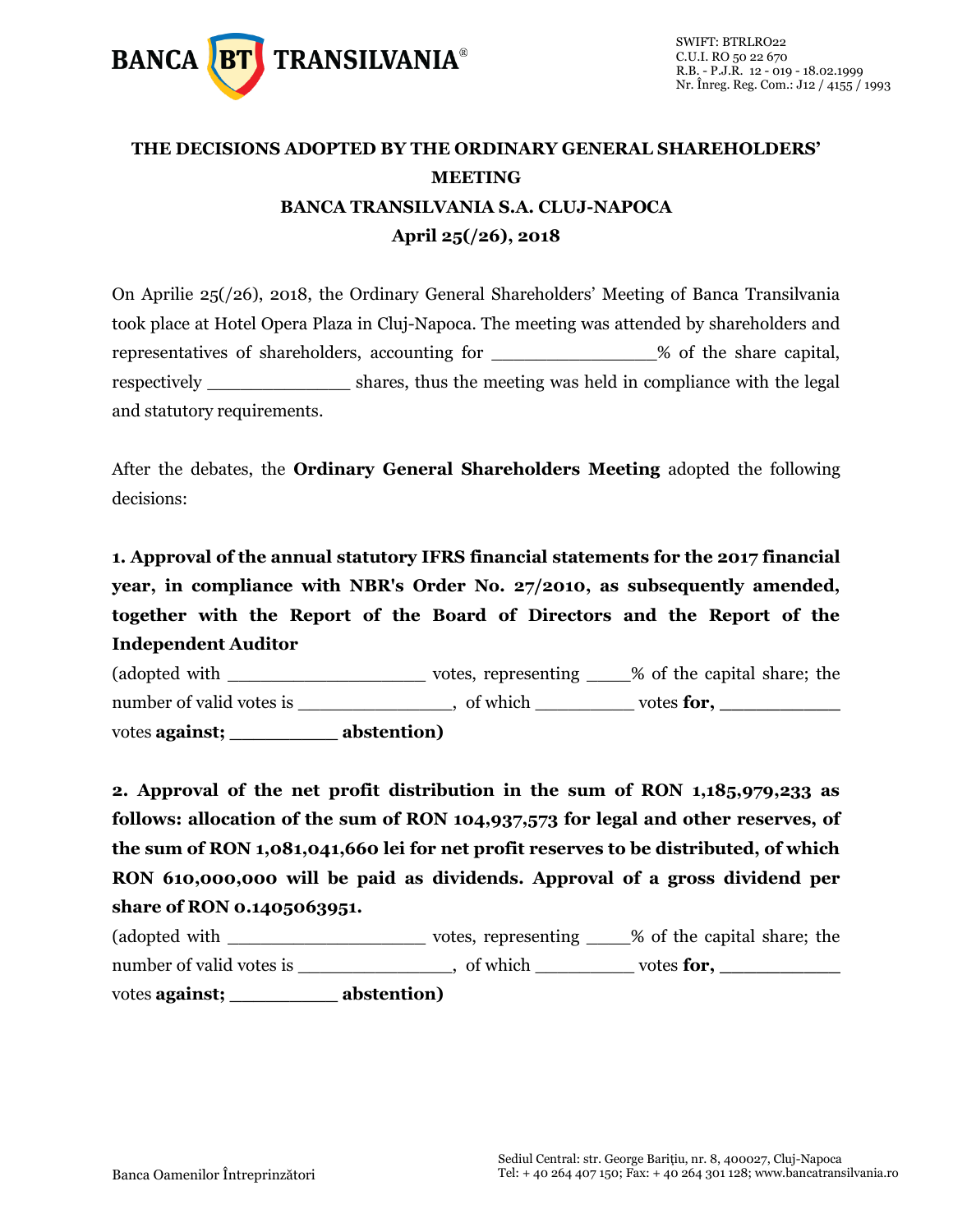

# **THE DECISIONS ADOPTED BY THE ORDINARY GENERAL SHAREHOLDERS' MEETING BANCA TRANSILVANIA S.A. CLUJ-NAPOCA April 25(/26), 2018**

On Aprilie 25(/26), 2018, the Ordinary General Shareholders' Meeting of Banca Transilvania took place at Hotel Opera Plaza in Cluj-Napoca. The meeting was attended by shareholders and representatives of shareholders, accounting for \_\_\_\_\_\_\_\_\_\_\_\_\_\_\_% of the share capital, respectively \_\_\_\_\_\_\_\_\_\_\_\_\_\_\_\_ shares, thus the meeting was held in compliance with the legal and statutory requirements.

After the debates, the **Ordinary General Shareholders Meeting** adopted the following decisions:

**1. Approval of the annual statutory IFRS financial statements for the 2017 financial year, in compliance with NBR's Order No. 27/2010, as subsequently amended, together with the Report of the Board of Directors and the Report of the Independent Auditor**

(adopted with \_\_\_\_\_\_\_\_\_\_\_\_\_\_\_\_\_\_ votes, representing \_\_\_\_% of the capital share; the number of valid votes is \_\_\_\_\_\_\_\_\_\_, of which \_\_\_\_\_\_\_\_ votes **for,** \_\_\_\_\_\_\_\_\_\_\_\_\_ votes **against; \_\_\_\_\_\_\_\_\_ abstention)**

**2. Approval of the net profit distribution in the sum of RON 1,185,979,233 as follows: allocation of the sum of RON 104,937,573 for legal and other reserves, of the sum of RON 1,081,041,660 lei for net profit reserves to be distributed, of which RON 610,000,000 will be paid as dividends. Approval of a gross dividend per share of RON 0.1405063951.**

| (adopted with            | votes, representing | % of the capital share; the |
|--------------------------|---------------------|-----------------------------|
| number of valid votes is | of which            | votes for,                  |
| votes against;           | abstention)         |                             |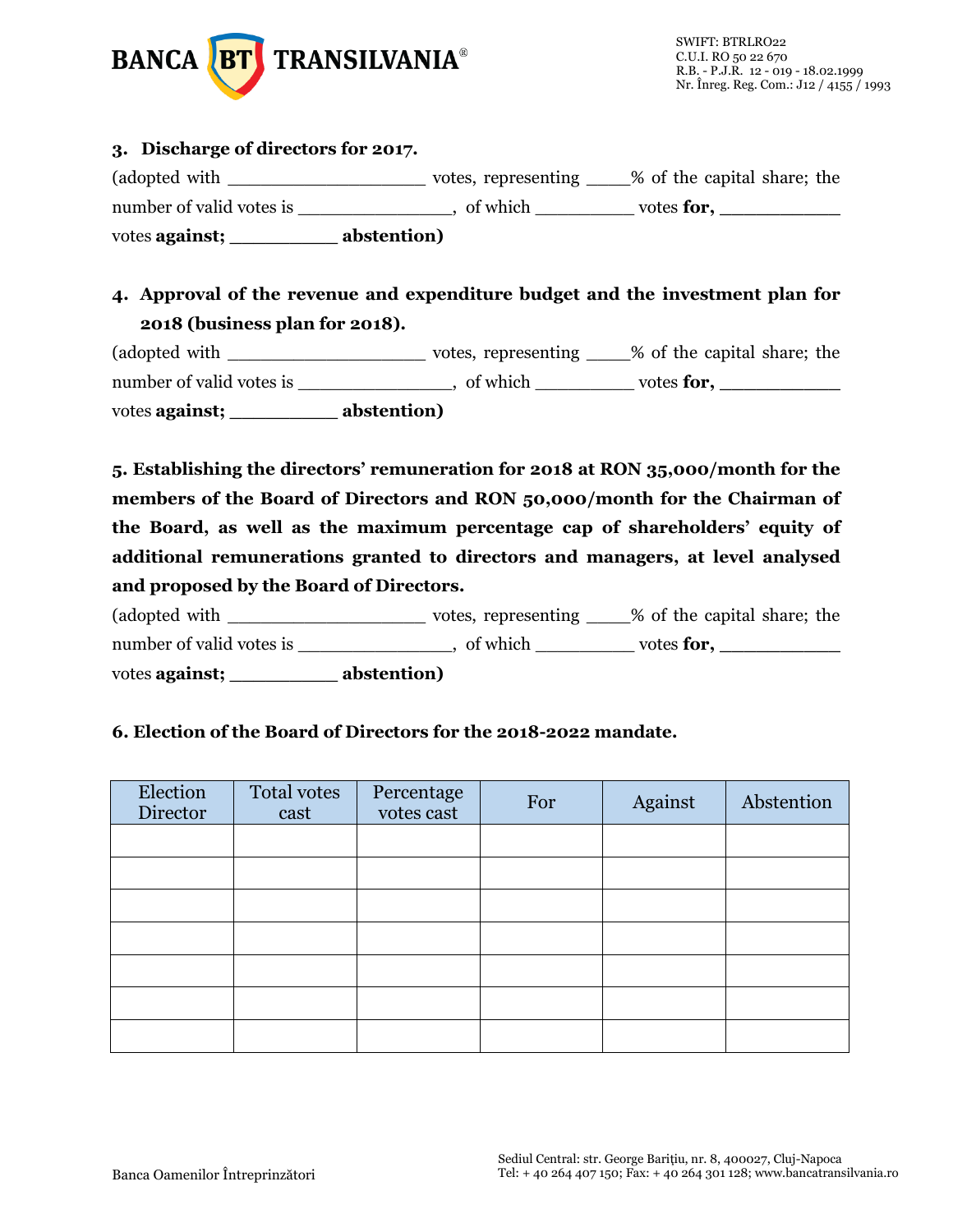

#### **3. Discharge of directors for 2017.**

(adopted with \_\_\_\_\_\_\_\_\_\_\_\_\_\_\_\_\_\_ votes, representing \_\_\_\_% of the capital share; the number of valid votes is \_\_\_\_\_\_\_\_\_\_, of which \_\_\_\_\_\_\_\_ votes **for,** votes **against; \_\_\_\_\_\_\_\_\_ abstention)**

### **4. Approval of the revenue and expenditure budget and the investment plan for 2018 (business plan for 2018).**

(adopted with \_\_\_\_\_\_\_\_\_\_\_\_\_\_\_\_\_\_ votes, representing \_\_\_\_% of the capital share; the number of valid votes is \_\_\_\_\_\_\_\_\_\_\_\_, of which \_\_\_\_\_\_\_\_\_ votes **for**, \_\_\_\_\_\_\_\_\_\_\_ votes **against; \_\_\_\_\_\_\_\_\_ abstention)**

**5. Establishing the directors' remuneration for 2018 at RON 35,000/month for the members of the Board of Directors and RON 50,000/month for the Chairman of the Board, as well as the maximum percentage cap of shareholders' equity of additional remunerations granted to directors and managers, at level analysed and proposed by the Board of Directors.**

(adopted with \_\_\_\_\_\_\_\_\_\_\_\_\_\_\_\_\_\_\_\_\_\_\_\_\_ votes, representing \_\_\_\_% of the capital share; the number of valid votes is \_\_\_\_\_\_\_\_\_\_\_\_\_, of which \_\_\_\_\_\_\_\_\_ votes **for**, \_\_\_\_\_\_\_\_\_\_

votes **against; \_\_\_\_\_\_\_\_\_ abstention)**

### **6. Election of the Board of Directors for the 2018-2022 mandate.**

| Election<br>Director | Total votes<br>cast | Percentage<br>votes cast | For | Against | Abstention |
|----------------------|---------------------|--------------------------|-----|---------|------------|
|                      |                     |                          |     |         |            |
|                      |                     |                          |     |         |            |
|                      |                     |                          |     |         |            |
|                      |                     |                          |     |         |            |
|                      |                     |                          |     |         |            |
|                      |                     |                          |     |         |            |
|                      |                     |                          |     |         |            |